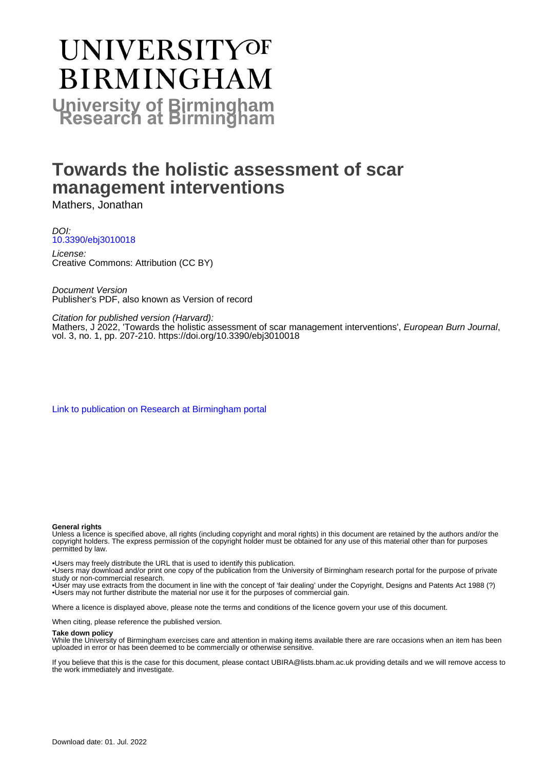# **UNIVERSITYOF BIRMINGHAM University of Birmingham**

## **Towards the holistic assessment of scar management interventions**

Mathers, Jonathan

DOI: [10.3390/ebj3010018](https://doi.org/10.3390/ebj3010018)

License: Creative Commons: Attribution (CC BY)

Document Version Publisher's PDF, also known as Version of record

Citation for published version (Harvard):

Mathers, J 2022, 'Towards the holistic assessment of scar management interventions', European Burn Journal, vol. 3, no. 1, pp. 207-210.<https://doi.org/10.3390/ebj3010018>

[Link to publication on Research at Birmingham portal](https://birmingham.elsevierpure.com/en/publications/f17fe017-44a5-45b7-a3f8-3080c269cd83)

## **General rights**

Unless a licence is specified above, all rights (including copyright and moral rights) in this document are retained by the authors and/or the copyright holders. The express permission of the copyright holder must be obtained for any use of this material other than for purposes permitted by law.

• Users may freely distribute the URL that is used to identify this publication.

• Users may download and/or print one copy of the publication from the University of Birmingham research portal for the purpose of private study or non-commercial research.

• User may use extracts from the document in line with the concept of 'fair dealing' under the Copyright, Designs and Patents Act 1988 (?) • Users may not further distribute the material nor use it for the purposes of commercial gain.

Where a licence is displayed above, please note the terms and conditions of the licence govern your use of this document.

When citing, please reference the published version.

## **Take down policy**

While the University of Birmingham exercises care and attention in making items available there are rare occasions when an item has been uploaded in error or has been deemed to be commercially or otherwise sensitive.

If you believe that this is the case for this document, please contact UBIRA@lists.bham.ac.uk providing details and we will remove access to the work immediately and investigate.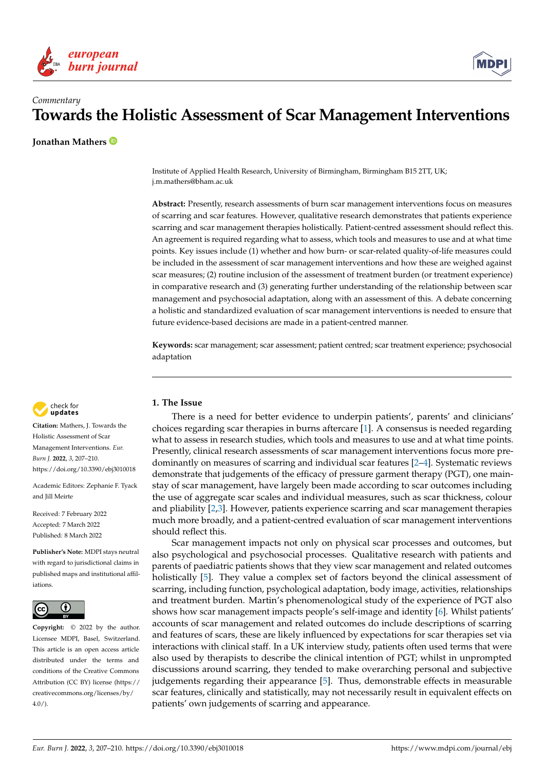



## *Commentary* **Towards the Holistic Assessment of Scar Management Interventions**

**Jonathan Mathers**

Institute of Applied Health Research, University of Birmingham, Birmingham B15 2TT, UK; j.m.mathers@bham.ac.uk

**Abstract:** Presently, research assessments of burn scar management interventions focus on measures of scarring and scar features. However, qualitative research demonstrates that patients experience scarring and scar management therapies holistically. Patient-centred assessment should reflect this. An agreement is required regarding what to assess, which tools and measures to use and at what time points. Key issues include (1) whether and how burn- or scar-related quality-of-life measures could be included in the assessment of scar management interventions and how these are weighed against scar measures; (2) routine inclusion of the assessment of treatment burden (or treatment experience) in comparative research and (3) generating further understanding of the relationship between scar management and psychosocial adaptation, along with an assessment of this. A debate concerning a holistic and standardized evaluation of scar management interventions is needed to ensure that future evidence-based decisions are made in a patient-centred manner.

**Keywords:** scar management; scar assessment; patient centred; scar treatment experience; psychosocial adaptation



**Citation:** Mathers, J. Towards the Holistic Assessment of Scar Management Interventions. *Eur. Burn J.* **2022**, *3*, 207–210. <https://doi.org/10.3390/ebj3010018>

Academic Editors: Zephanie F. Tyack and Jill Meirte

Received: 7 February 2022 Accepted: 7 March 2022 Published: 8 March 2022

**Publisher's Note:** MDPI stays neutral with regard to jurisdictional claims in published maps and institutional affiliations.



**Copyright:** © 2022 by the author. Licensee MDPI, Basel, Switzerland. This article is an open access article distributed under the terms and conditions of the Creative Commons Attribution (CC BY) license [\(https://](https://creativecommons.org/licenses/by/4.0/) [creativecommons.org/licenses/by/](https://creativecommons.org/licenses/by/4.0/)  $4.0/$ ).

## **1. The Issue**

There is a need for better evidence to underpin patients', parents' and clinicians' choices regarding scar therapies in burns aftercare [\[1\]](#page-3-0). A consensus is needed regarding what to assess in research studies, which tools and measures to use and at what time points. Presently, clinical research assessments of scar management interventions focus more predominantly on measures of scarring and individual scar features [\[2](#page-3-1)[–4\]](#page-3-2). Systematic reviews demonstrate that judgements of the efficacy of pressure garment therapy (PGT), one mainstay of scar management, have largely been made according to scar outcomes including the use of aggregate scar scales and individual measures, such as scar thickness, colour and pliability [\[2,](#page-3-1)[3\]](#page-3-3). However, patients experience scarring and scar management therapies much more broadly, and a patient-centred evaluation of scar management interventions should reflect this.

Scar management impacts not only on physical scar processes and outcomes, but also psychological and psychosocial processes. Qualitative research with patients and parents of paediatric patients shows that they view scar management and related outcomes holistically [\[5\]](#page-3-4). They value a complex set of factors beyond the clinical assessment of scarring, including function, psychological adaptation, body image, activities, relationships and treatment burden. Martin's phenomenological study of the experience of PGT also shows how scar management impacts people's self-image and identity [\[6\]](#page-3-5). Whilst patients' accounts of scar management and related outcomes do include descriptions of scarring and features of scars, these are likely influenced by expectations for scar therapies set via interactions with clinical staff. In a UK interview study, patients often used terms that were also used by therapists to describe the clinical intention of PGT; whilst in unprompted discussions around scarring, they tended to make overarching personal and subjective judgements regarding their appearance [\[5\]](#page-3-4). Thus, demonstrable effects in measurable scar features, clinically and statistically, may not necessarily result in equivalent effects on patients' own judgements of scarring and appearance.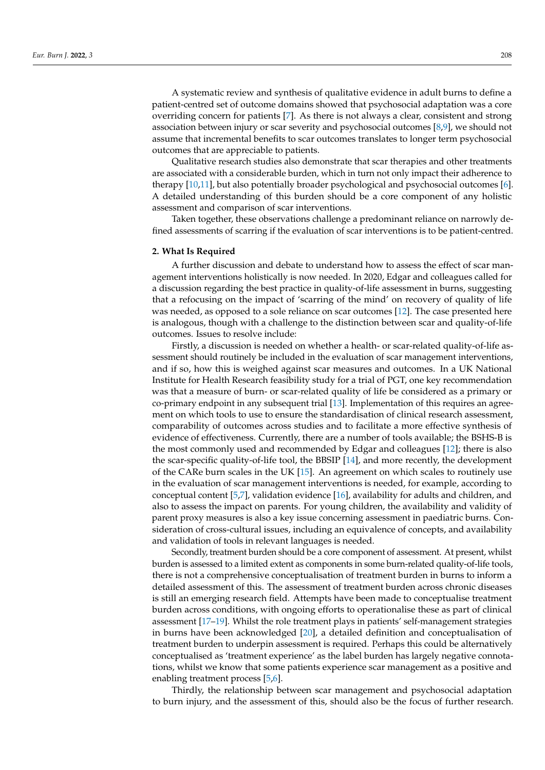A systematic review and synthesis of qualitative evidence in adult burns to define a patient-centred set of outcome domains showed that psychosocial adaptation was a core overriding concern for patients [\[7\]](#page-3-6). As there is not always a clear, consistent and strong association between injury or scar severity and psychosocial outcomes [\[8,](#page-4-0)[9\]](#page-4-1), we should not assume that incremental benefits to scar outcomes translates to longer term psychosocial outcomes that are appreciable to patients.

Qualitative research studies also demonstrate that scar therapies and other treatments are associated with a considerable burden, which in turn not only impact their adherence to therapy [\[10](#page-4-2)[,11\]](#page-4-3), but also potentially broader psychological and psychosocial outcomes [\[6\]](#page-3-5). A detailed understanding of this burden should be a core component of any holistic assessment and comparison of scar interventions.

Taken together, these observations challenge a predominant reliance on narrowly defined assessments of scarring if the evaluation of scar interventions is to be patient-centred.

#### **2. What Is Required**

A further discussion and debate to understand how to assess the effect of scar management interventions holistically is now needed. In 2020, Edgar and colleagues called for a discussion regarding the best practice in quality-of-life assessment in burns, suggesting that a refocusing on the impact of 'scarring of the mind' on recovery of quality of life was needed, as opposed to a sole reliance on scar outcomes [\[12\]](#page-4-4). The case presented here is analogous, though with a challenge to the distinction between scar and quality-of-life outcomes. Issues to resolve include:

Firstly, a discussion is needed on whether a health- or scar-related quality-of-life assessment should routinely be included in the evaluation of scar management interventions, and if so, how this is weighed against scar measures and outcomes. In a UK National Institute for Health Research feasibility study for a trial of PGT, one key recommendation was that a measure of burn- or scar-related quality of life be considered as a primary or co-primary endpoint in any subsequent trial [\[13\]](#page-4-5). Implementation of this requires an agreement on which tools to use to ensure the standardisation of clinical research assessment, comparability of outcomes across studies and to facilitate a more effective synthesis of evidence of effectiveness. Currently, there are a number of tools available; the BSHS-B is the most commonly used and recommended by Edgar and colleagues [\[12\]](#page-4-4); there is also the scar-specific quality-of-life tool, the BBSIP [\[14\]](#page-4-6), and more recently, the development of the CARe burn scales in the UK [\[15\]](#page-4-7). An agreement on which scales to routinely use in the evaluation of scar management interventions is needed, for example, according to conceptual content [\[5](#page-3-4)[,7\]](#page-3-6), validation evidence [\[16\]](#page-4-8), availability for adults and children, and also to assess the impact on parents. For young children, the availability and validity of parent proxy measures is also a key issue concerning assessment in paediatric burns. Consideration of cross-cultural issues, including an equivalence of concepts, and availability and validation of tools in relevant languages is needed.

Secondly, treatment burden should be a core component of assessment. At present, whilst burden is assessed to a limited extent as components in some burn-related quality-of-life tools, there is not a comprehensive conceptualisation of treatment burden in burns to inform a detailed assessment of this. The assessment of treatment burden across chronic diseases is still an emerging research field. Attempts have been made to conceptualise treatment burden across conditions, with ongoing efforts to operationalise these as part of clinical assessment [\[17](#page-4-9)[–19\]](#page-4-10). Whilst the role treatment plays in patients' self-management strategies in burns have been acknowledged [\[20\]](#page-4-11), a detailed definition and conceptualisation of treatment burden to underpin assessment is required. Perhaps this could be alternatively conceptualised as 'treatment experience' as the label burden has largely negative connotations, whilst we know that some patients experience scar management as a positive and enabling treatment process [\[5](#page-3-4)[,6\]](#page-3-5).

Thirdly, the relationship between scar management and psychosocial adaptation to burn injury, and the assessment of this, should also be the focus of further research.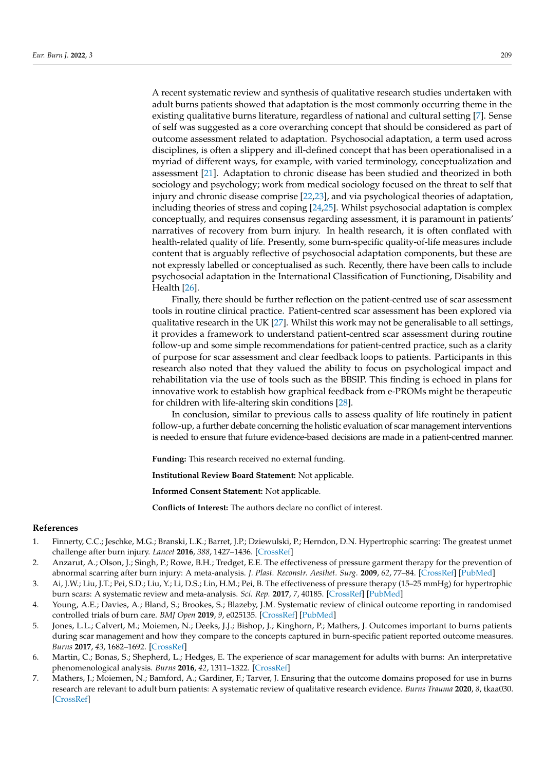A recent systematic review and synthesis of qualitative research studies undertaken with adult burns patients showed that adaptation is the most commonly occurring theme in the existing qualitative burns literature, regardless of national and cultural setting [\[7\]](#page-3-6). Sense of self was suggested as a core overarching concept that should be considered as part of outcome assessment related to adaptation. Psychosocial adaptation, a term used across disciplines, is often a slippery and ill-defined concept that has been operationalised in a myriad of different ways, for example, with varied terminology, conceptualization and assessment [\[21\]](#page-4-12). Adaptation to chronic disease has been studied and theorized in both sociology and psychology; work from medical sociology focused on the threat to self that injury and chronic disease comprise [\[22](#page-4-13)[,23\]](#page-4-14), and via psychological theories of adaptation, including theories of stress and coping [\[24](#page-4-15)[,25\]](#page-4-16). Whilst psychosocial adaptation is complex conceptually, and requires consensus regarding assessment, it is paramount in patients' narratives of recovery from burn injury. In health research, it is often conflated with health-related quality of life. Presently, some burn-specific quality-of-life measures include content that is arguably reflective of psychosocial adaptation components, but these are not expressly labelled or conceptualised as such. Recently, there have been calls to include psychosocial adaptation in the International Classification of Functioning, Disability and Health [\[26\]](#page-4-17).

Finally, there should be further reflection on the patient-centred use of scar assessment tools in routine clinical practice. Patient-centred scar assessment has been explored via qualitative research in the UK [\[27\]](#page-4-18). Whilst this work may not be generalisable to all settings, it provides a framework to understand patient-centred scar assessment during routine follow-up and some simple recommendations for patient-centred practice, such as a clarity of purpose for scar assessment and clear feedback loops to patients. Participants in this research also noted that they valued the ability to focus on psychological impact and rehabilitation via the use of tools such as the BBSIP. This finding is echoed in plans for innovative work to establish how graphical feedback from e-PROMs might be therapeutic for children with life-altering skin conditions [\[28\]](#page-4-19).

In conclusion, similar to previous calls to assess quality of life routinely in patient follow-up, a further debate concerning the holistic evaluation of scar management interventions is needed to ensure that future evidence-based decisions are made in a patient-centred manner.

**Funding:** This research received no external funding.

**Institutional Review Board Statement:** Not applicable.

**Informed Consent Statement:** Not applicable.

**Conflicts of Interest:** The authors declare no conflict of interest.

### **References**

- <span id="page-3-0"></span>1. Finnerty, C.C.; Jeschke, M.G.; Branski, L.K.; Barret, J.P.; Dziewulski, P.; Herndon, D.N. Hypertrophic scarring: The greatest unmet challenge after burn injury. *Lancet* **2016**, *388*, 1427–1436. [\[CrossRef\]](http://doi.org/10.1016/S0140-6736(16)31406-4)
- <span id="page-3-1"></span>2. Anzarut, A.; Olson, J.; Singh, P.; Rowe, B.H.; Tredget, E.E. The effectiveness of pressure garment therapy for the prevention of abnormal scarring after burn injury: A meta-analysis. *J. Plast. Reconstr. Aesthet. Surg.* **2009**, *62*, 77–84. [\[CrossRef\]](http://doi.org/10.1016/j.bjps.2007.10.052) [\[PubMed\]](http://www.ncbi.nlm.nih.gov/pubmed/18249046)
- <span id="page-3-3"></span>3. Ai, J.W.; Liu, J.T.; Pei, S.D.; Liu, Y.; Li, D.S.; Lin, H.M.; Pei, B. The effectiveness of pressure therapy (15–25 mmHg) for hypertrophic burn scars: A systematic review and meta-analysis. *Sci. Rep.* **2017**, *7*, 40185. [\[CrossRef\]](http://doi.org/10.1038/srep40185) [\[PubMed\]](http://www.ncbi.nlm.nih.gov/pubmed/28054644)
- <span id="page-3-2"></span>4. Young, A.E.; Davies, A.; Bland, S.; Brookes, S.; Blazeby, J.M. Systematic review of clinical outcome reporting in randomised controlled trials of burn care. *BMJ Open* **2019**, *9*, e025135. [\[CrossRef\]](http://doi.org/10.1136/bmjopen-2018-025135) [\[PubMed\]](http://www.ncbi.nlm.nih.gov/pubmed/30772859)
- <span id="page-3-4"></span>5. Jones, L.L.; Calvert, M.; Moiemen, N.; Deeks, J.J.; Bishop, J.; Kinghorn, P.; Mathers, J. Outcomes important to burns patients during scar management and how they compare to the concepts captured in burn-specific patient reported outcome measures. *Burns* **2017**, *43*, 1682–1692. [\[CrossRef\]](http://doi.org/10.1016/j.burns.2017.09.004)
- <span id="page-3-5"></span>6. Martin, C.; Bonas, S.; Shepherd, L.; Hedges, E. The experience of scar management for adults with burns: An interpretative phenomenological analysis. *Burns* **2016**, *42*, 1311–1322. [\[CrossRef\]](http://doi.org/10.1016/j.burns.2016.03.002)
- <span id="page-3-6"></span>7. Mathers, J.; Moiemen, N.; Bamford, A.; Gardiner, F.; Tarver, J. Ensuring that the outcome domains proposed for use in burns research are relevant to adult burn patients: A systematic review of qualitative research evidence. *Burns Trauma* **2020**, *8*, tkaa030. [\[CrossRef\]](http://doi.org/10.1093/burnst/tkaa030)